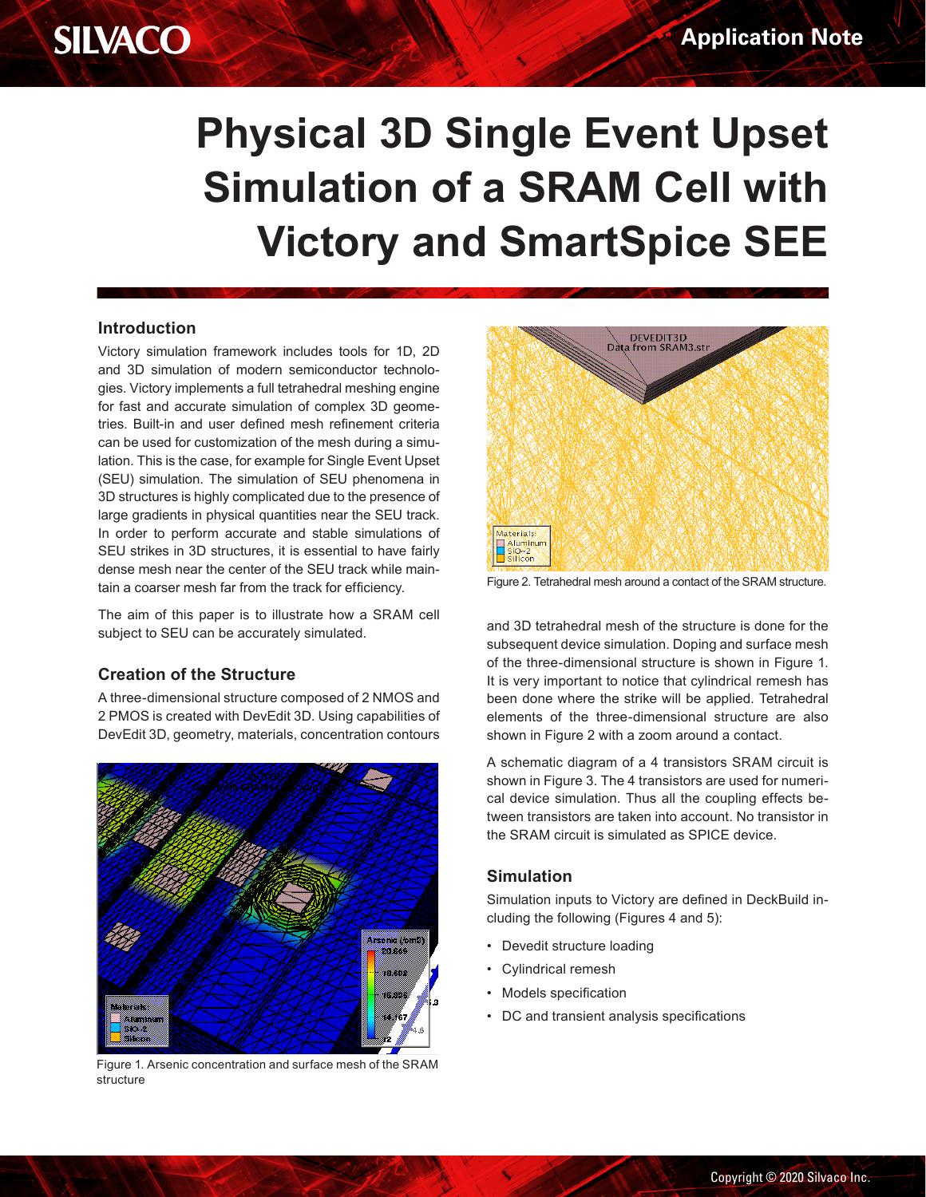# **Physical 3D Single Event Upset Simulation of a SRAM Cell with Victory and SmartSpice SEE**

#### **Introduction**

**SILVACO** 

Victory simulation framework includes tools for 1D, 2D and 3D simulation of modern semiconductor technologies. Victory implements a full tetrahedral meshing engine for fast and accurate simulation of complex 3D geometries. Built-in and user defined mesh refinement criteria can be used for customization of the mesh during a simulation. This is the case, for example for Single Event Upset (SEU) simulation. The simulation of SEU phenomena in 3D structures is highly complicated due to the presence of large gradients in physical quantities near the SEU track. In order to perform accurate and stable simulations of SEU strikes in 3D structures, it is essential to have fairly dense mesh near the center of the SEU track while maintain a coarser mesh far from the track for efficiency.

The aim of this paper is to illustrate how a SRAM cell subject to SEU can be accurately simulated.

#### **Creation of the Structure**

A three-dimensional structure composed of 2 NMOS and 2 PMOS is created with DevEdit 3D. Using capabilities of DevEdit 3D, geometry, materials, concentration contours



Figure 1. Arsenic concentration and surface mesh of the SRAM<br>structure<br>And the SRAM<br>Copyright © 2020 structure



Figure 2. Tetrahedral mesh around a contact of the SRAM structure.

and 3D tetrahedral mesh of the structure is done for the subsequent device simulation. Doping and surface mesh of the three-dimensional structure is shown in Figure 1. It is very important to notice that cylindrical remesh has been done where the strike will be applied. Tetrahedral elements of the three-dimensional structure are also shown in Figure 2 with a zoom around a contact.

A schematic diagram of a 4 transistors SRAM circuit is shown in Figure 3. The 4 transistors are used for numerical device simulation. Thus all the coupling effects between transistors are taken into account. No transistor in the SRAM circuit is simulated as SPICE device.

#### **Simulation**

Simulation inputs to Victory are defined in DeckBuild including the following (Figures 4 and 5):

- Devedit structure loading
- Cylindrical remesh
- Models specification
- DC and transient analysis specifications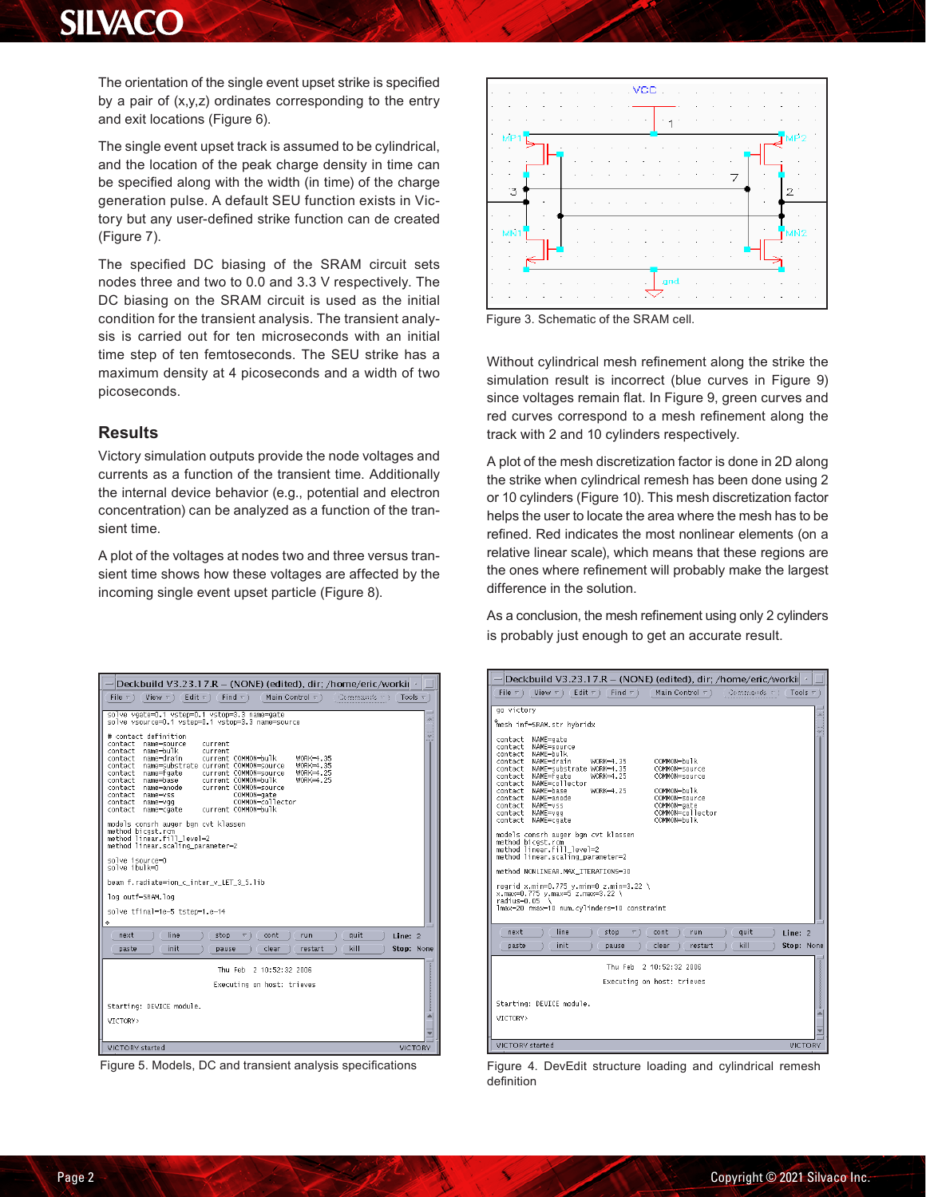The orientation of the single event upset strike is specified by a pair of (x,y,z) ordinates corresponding to the entry and exit locations (Figure 6).

The single event upset track is assumed to be cylindrical, and the location of the peak charge density in time can be specified along with the width (in time) of the charge generation pulse. A default SEU function exists in Victory but any user-defined strike function can de created (Figure 7).

The specified DC biasing of the SRAM circuit sets nodes three and two to 0.0 and 3.3 V respectively. The DC biasing on the SRAM circuit is used as the initial condition for the transient analysis. The transient analysis is carried out for ten microseconds with an initial time step of ten femtoseconds. The SEU strike has a maximum density at 4 picoseconds and a width of two picoseconds.

#### **Results**

Victory simulation outputs provide the node voltages and currents as a function of the transient time. Additionally the internal device behavior (e.g., potential and electron concentration) can be analyzed as a function of the transient time.

A plot of the voltages at nodes two and three versus transient time shows how these voltages are affected by the incoming single event upset particle (Figure 8).



Figure 5. Models, DC and transient analysis specifications



Figure 3. Schematic of the SRAM cell.

Without cylindrical mesh refinement along the strike the simulation result is incorrect (blue curves in Figure 9) since voltages remain flat. In Figure 9, green curves and red curves correspond to a mesh refinement along the track with 2 and 10 cylinders respectively.

A plot of the mesh discretization factor is done in 2D along the strike when cylindrical remesh has been done using 2 or 10 cylinders (Figure 10). This mesh discretization factor helps the user to locate the area where the mesh has to be refined. Red indicates the most nonlinear elements (on a relative linear scale), which means that these regions are the ones where refinement will probably make the largest difference in the solution.

As a conclusion, the mesh refinement using only 2 cylinders is probably just enough to get an accurate result.

| Deckbuild V3.23.17.R - (NONE) (edited), dir; /home/eric/worki                                                                                                                                                                                                                                                                                                                                                                                                                                                                                                                                                                                                                                                                                                                                                                                                           |
|-------------------------------------------------------------------------------------------------------------------------------------------------------------------------------------------------------------------------------------------------------------------------------------------------------------------------------------------------------------------------------------------------------------------------------------------------------------------------------------------------------------------------------------------------------------------------------------------------------------------------------------------------------------------------------------------------------------------------------------------------------------------------------------------------------------------------------------------------------------------------|
| File $\nabla$ )<br>Edit $\nabla$ )<br>Find $\nabla$<br>Main Control $\tau$ )<br>Commands $\forall$ 1 Tools $\forall$<br>View $\nabla$ ) $($                                                                                                                                                                                                                                                                                                                                                                                                                                                                                                                                                                                                                                                                                                                             |
| go victory<br>in.<br>mesh inf=SRAM.str hybridx<br>m<br>÷<br>NAME=gate<br>contact<br>contact<br>NAME=source<br>NAME=bulk<br>contact<br>NAME=drain<br>COMMON-bulk<br>contact<br>$WORK = 4.35$<br>COMMON=source<br>contact<br>NAME=substrate WORK=4.35<br>NAME=faate<br>WORK=4.25<br>COMMON=source<br>contact<br>contact NAME=collector<br>NAME=base<br>WORK=4.25<br>COMMON=bulk<br>contact<br>contact NAME=anode<br>COMMON=source<br>NAME=vss<br>COMMON=gate<br>contact<br>COMMON=collector<br>contact NAME=vgg<br>COMMON=hulk<br>contact<br>NAME=cgate<br>models consrh auger bgn cvt klassen<br>method bicast.rcm<br>method linear.fill level=2<br>method linear.scaling parameter=2<br>method NONLINEAR.MAX ITERATIONS=30<br>regrid x.min=0.775 v.min=0 z.min=3.22 \<br>x.max=0.775 y.max=5 z.max=3.22 \<br>radius=0.05<br>lmax=20 rmax=10 num.cylinders=10 constraint |
| line<br>auit<br>next<br>stop<br>cont<br>run<br>Line: $2$<br>⊽ ì<br>init<br>kill<br>clear<br>Stop: None<br>restart<br>paste<br>pause                                                                                                                                                                                                                                                                                                                                                                                                                                                                                                                                                                                                                                                                                                                                     |
| 2 10:52:32 2006<br>Thu Feb<br>Executing on host: trieves<br>Starting: DEVICE module.                                                                                                                                                                                                                                                                                                                                                                                                                                                                                                                                                                                                                                                                                                                                                                                    |
| VTCTORY><br><b>VICTORY</b><br>VICTORY started                                                                                                                                                                                                                                                                                                                                                                                                                                                                                                                                                                                                                                                                                                                                                                                                                           |

Figure 4. DevEdit structure loading and cylindrical remesh definition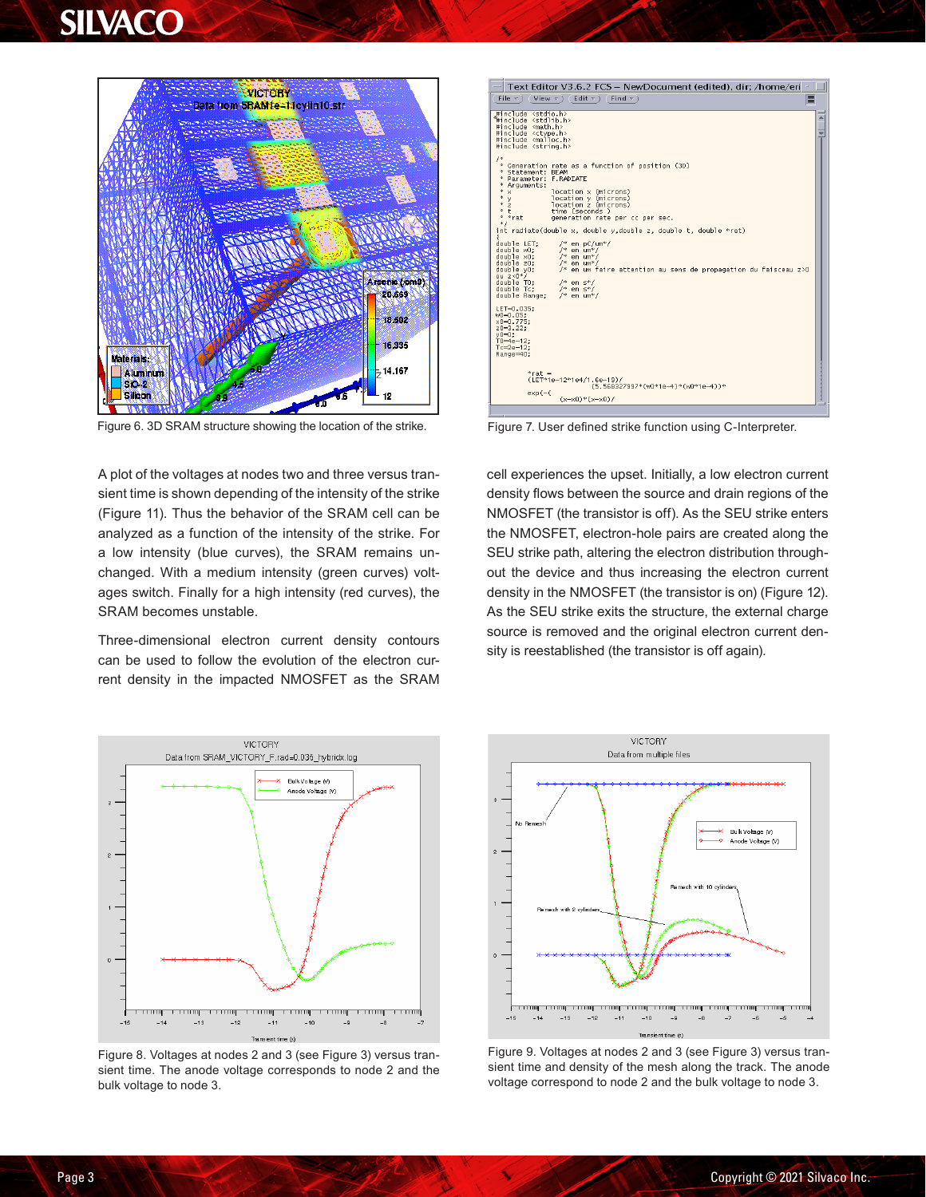

Figure 6. 3D SRAM structure showing the location of the strike.

A plot of the voltages at nodes two and three versus transient time is shown depending of the intensity of the strike (Figure 11). Thus the behavior of the SRAM cell can be analyzed as a function of the intensity of the strike. For a low intensity (blue curves), the SRAM remains unchanged. With a medium intensity (green curves) voltages switch. Finally for a high intensity (red curves), the SRAM becomes unstable.

Three-dimensional electron current density contours can be used to follow the evolution of the electron current density in the impacted NMOSFET as the SRAM



Figure 7. User defined strike function using C-Interpreter.

cell experiences the upset. Initially, a low electron current density flows between the source and drain regions of the NMOSFET (the transistor is off). As the SEU strike enters the NMOSFET, electron-hole pairs are created along the SEU strike path, altering the electron distribution throughout the device and thus increasing the electron current density in the NMOSFET (the transistor is on) (Figure 12). As the SEU strike exits the structure, the external charge source is removed and the original electron current density is reestablished (the transistor is off again).



Figure 8. Voltages at nodes 2 and 3 (see Figure 3) versus transient time. The anode voltage corresponds to node 2 and the bulk voltage to node 3.



Figure 9. Voltages at nodes 2 and 3 (see Figure 3) versus transient time and density of the mesh along the track. The anode voltage correspond to node 2 and the bulk voltage to node 3.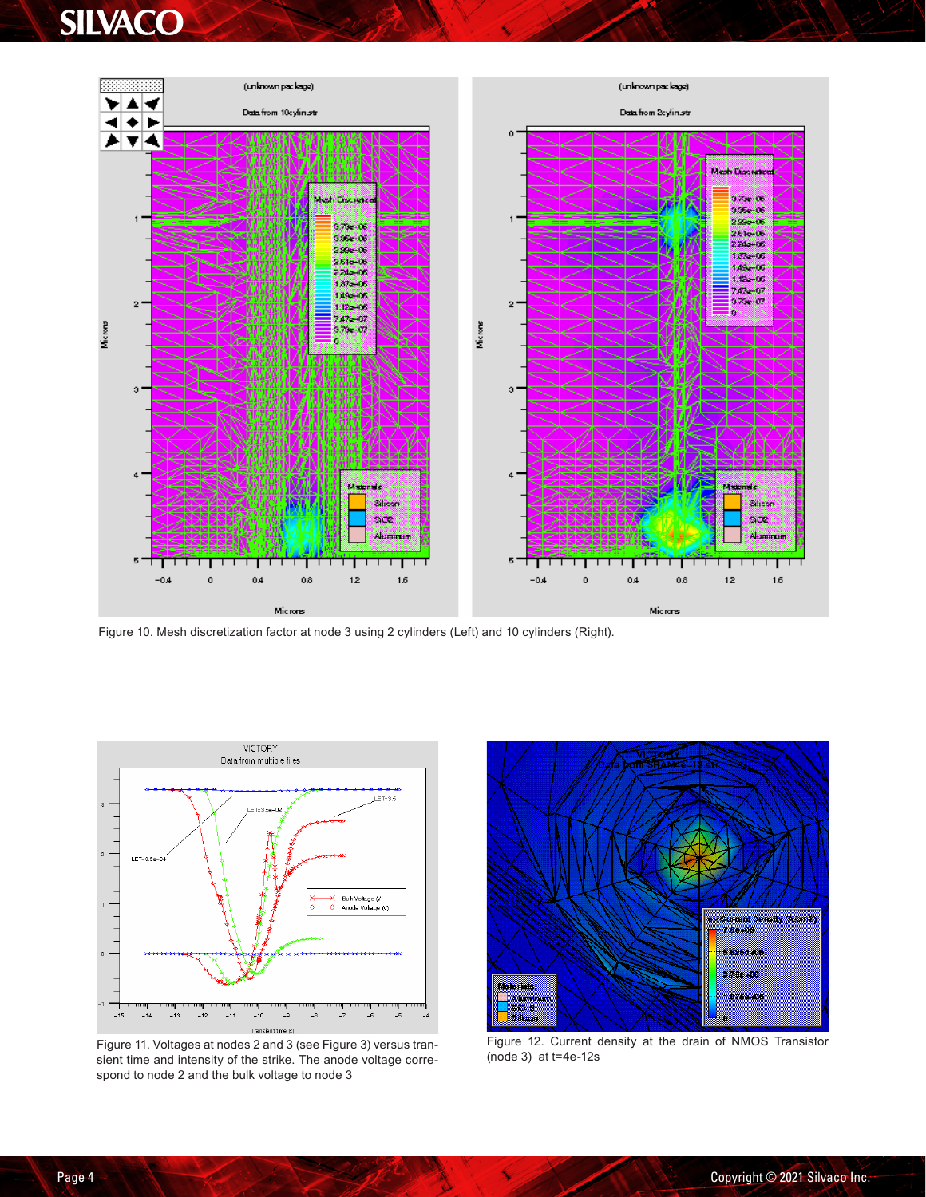

Figure 10. Mesh discretization factor at node 3 using 2 cylinders (Left) and 10 cylinders (Right).



Figure 11. Voltages at nodes 2 and 3 (see Figure 3) versus transient time and intensity of the strike. The anode voltage correspond to node 2 and the bulk voltage to node 3



Figure 12. Current density at the drain of NMOS Transistor (node 3) at t=4e-12s